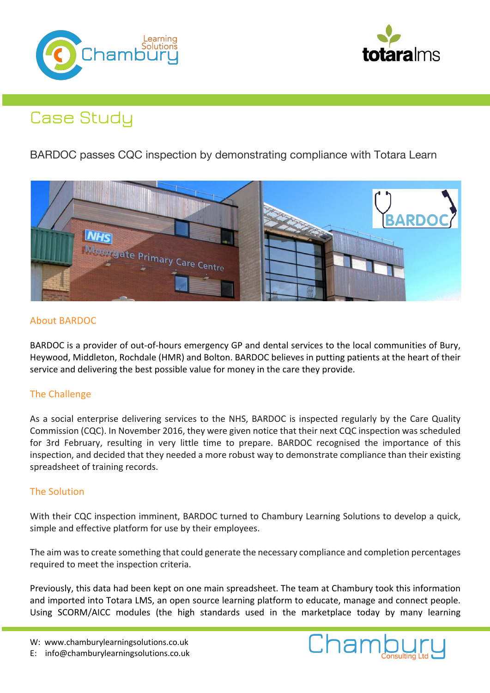



# Case Study

BARDOC passes CQC inspection by demonstrating compliance with Totara Learn



## About BARDOC

BARDOC is a provider of out-of-hours emergency GP and dental services to the local communities of Bury, Heywood, Middleton, Rochdale (HMR) and Bolton. BARDOC believes in putting patients at the heart of their service and delivering the best possible value for money in the care they provide.

### The Challenge

As a social enterprise delivering services to the NHS, BARDOC is inspected regularly by the Care Quality Commission (CQC). In November 2016, they were given notice that their next CQC inspection was scheduled for 3rd February, resulting in very little time to prepare. BARDOC recognised the importance of this inspection, and decided that they needed a more robust way to demonstrate compliance than their existing spreadsheet of training records.

### The Solution

With their CQC inspection imminent, BARDOC turned to Chambury Learning Solutions to develop a quick, simple and effective platform for use by their employees.

The aim was to create something that could generate the necessary compliance and completion percentages required to meet the inspection criteria.

Previously, this data had been kept on one main spreadsheet. The team at Chambury took this information and imported into Totara LMS, an open source learning platform to educate, manage and connect people. Using SCORM/AICC modules (the high standards used in the marketplace today by many learning